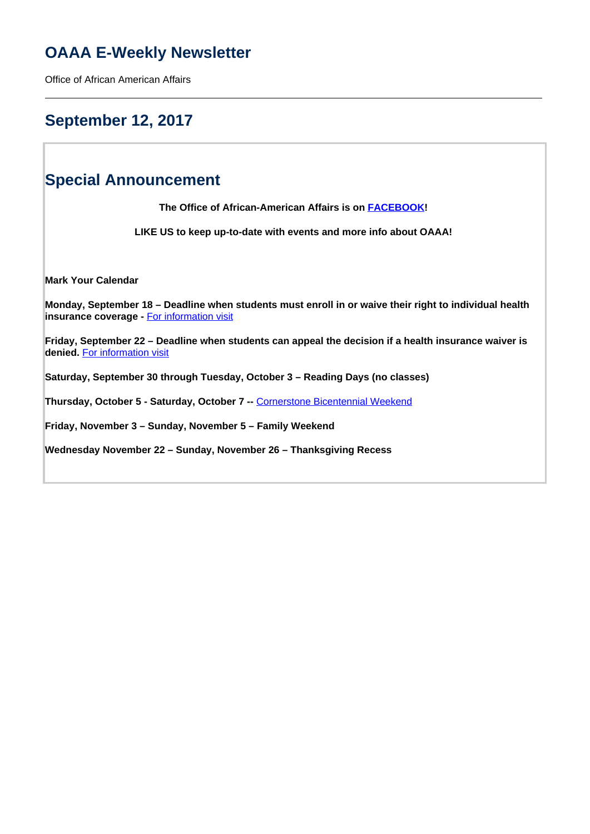# **OAAA E-Weekly Newsletter**

Office of African American Affairs

## **September 12, 2017**

## **Special Announcement**

**The Office of African-American Affairs is on [FACEBOOK](https://www.facebook.com/OfficeofAfricanAmericanAffairs)!**

**LIKE US to keep up-to-date with events and more info about OAAA!**

**Mark Your Calendar**

**Monday, September 18 – Deadline when students must enroll in or waive their right to individual health insurance coverage -** For information visit

**Friday, September 22 – Deadline when students can appeal the decision if a health insurance waiver is denied.** For information visit

**Saturday, September 30 through Tuesday, October 3 – Reading Days (no classes)** 

**Thursday, October 5 - Saturday, October 7 --** Cornerstone Bicentennial Weekend

**Friday, November 3 – Sunday, November 5 – Family Weekend**

**Wednesday November 22 – Sunday, November 26 – Thanksgiving Recess**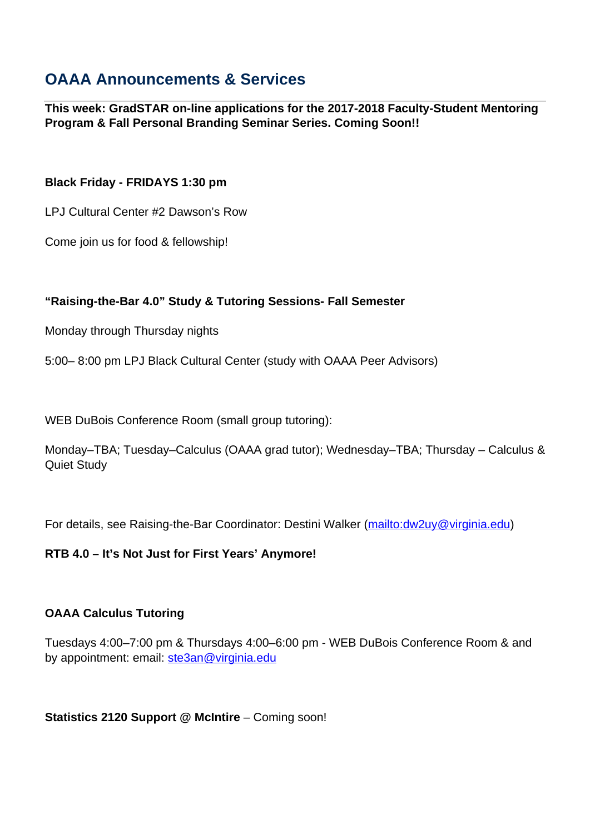# **OAAA Announcements & Services**

**This week: GradSTAR on-line applications for the 2017-2018 Faculty-Student Mentoring Program & Fall Personal Branding Seminar Series. Coming Soon!!**

## **Black Friday - FRIDAYS 1:30 pm**

LPJ Cultural Center #2 Dawson's Row

Come join us for food & fellowship!

## **"Raising-the-Bar 4.0" Study & Tutoring Sessions- Fall Semester**

Monday through Thursday nights

5:00– 8:00 pm LPJ Black Cultural Center (study with OAAA Peer Advisors)

WEB DuBois Conference Room (small group tutoring):

Monday–TBA; Tuesday–Calculus (OAAA grad tutor); Wednesday–TBA; Thursday – Calculus & Quiet Study

For details, see Raising-the-Bar Coordinator: Destini Walker (mailto:dw2uy@virginia.edu)

## **RTB 4.0 – It's Not Just for First Years' Anymore!**

## **OAAA Calculus Tutoring**

Tuesdays 4:00–7:00 pm & Thursdays 4:00–6:00 pm - WEB DuBois Conference Room & and by appointment: email: ste3an@virginia.edu

## **Statistics 2120 Support @ McIntire** – Coming soon!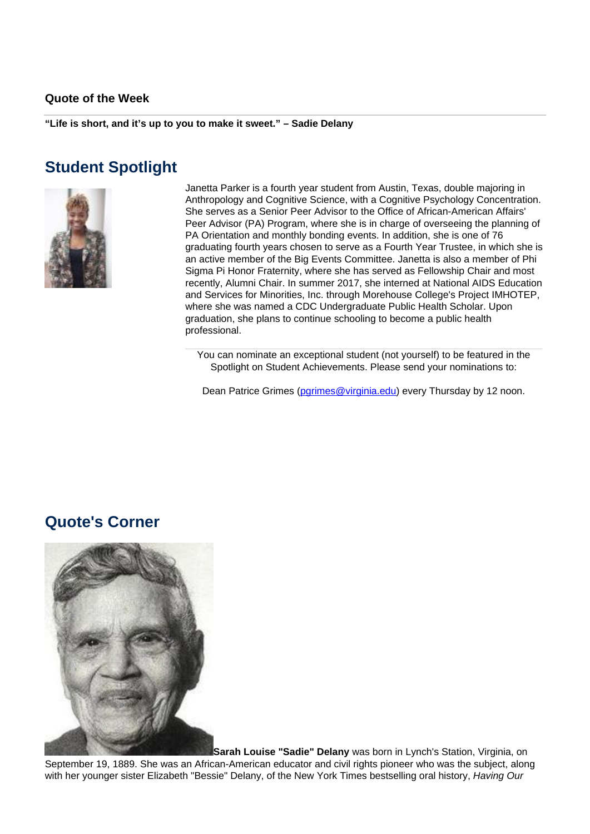#### **Quote of the Week**

**"Life is short, and it's up to you to make it sweet." – Sadie Delany**

## **Student Spotlight**



Janetta Parker is a fourth year student from Austin, Texas, double majoring in Anthropology and Cognitive Science, with a Cognitive Psychology Concentration. She serves as a Senior Peer Advisor to the Office of African-American Affairs' Peer Advisor (PA) Program, where she is in charge of overseeing the planning of PA Orientation and monthly bonding events. In addition, she is one of 76 graduating fourth years chosen to serve as a Fourth Year Trustee, in which she is an active member of the Big Events Committee. Janetta is also a member of Phi Sigma Pi Honor Fraternity, where she has served as Fellowship Chair and most recently, Alumni Chair. In summer 2017, she interned at National AIDS Education and Services for Minorities, Inc. through Morehouse College's Project IMHOTEP, where she was named a CDC Undergraduate Public Health Scholar. Upon graduation, she plans to continue schooling to become a public health professional.

You can nominate an exceptional student (not yourself) to be featured in the Spotlight on Student Achievements. Please send your nominations to:

Dean Patrice Grimes (parimes@virginia.edu) every Thursday by 12 noon.

## **Quote's Corner**



**Sarah Louise "Sadie" Delany** was born in Lynch's Station, Virginia, on September 19, 1889. She was an African-American educator and civil rights pioneer who was the subject, along with her younger sister Elizabeth "Bessie" Delany, of the New York Times bestselling oral history, Having Our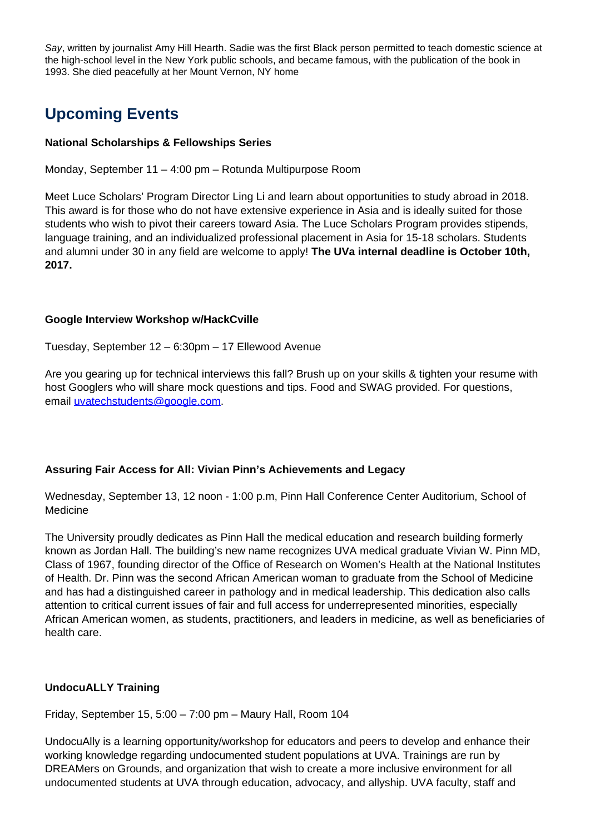Say, written by journalist Amy Hill Hearth. Sadie was the first Black person permitted to teach domestic science at the high-school level in the New York public schools, and became famous, with the publication of the book in 1993. She died peacefully at her Mount Vernon, NY home

# **Upcoming Events**

## **National Scholarships & Fellowships Series**

Monday, September 11 – 4:00 pm – Rotunda Multipurpose Room

Meet Luce Scholars' Program Director Ling Li and learn about opportunities to study abroad in 2018. This award is for those who do not have extensive experience in Asia and is ideally suited for those students who wish to pivot their careers toward Asia. The Luce Scholars Program provides stipends, language training, and an individualized professional placement in Asia for 15-18 scholars. Students and alumni under 30 in any field are welcome to apply! **The UVa internal deadline is October 10th, 2017.**

## **Google Interview Workshop w/HackCville**

Tuesday, September 12 – 6:30pm – 17 Ellewood Avenue

Are you gearing up for technical interviews this fall? Brush up on your skills & tighten your resume with host Googlers who will share mock questions and tips. Food and SWAG provided. For questions, email uvatechstudents@google.com.

## **Assuring Fair Access for All: Vivian Pinn's Achievements and Legacy**

Wednesday, September 13, 12 noon - 1:00 p.m, Pinn Hall Conference Center Auditorium, School of **Medicine** 

The University proudly dedicates as Pinn Hall the medical education and research building formerly known as Jordan Hall. The building's new name recognizes UVA medical graduate Vivian W. Pinn MD, Class of 1967, founding director of the Office of Research on Women's Health at the National Institutes of Health. Dr. Pinn was the second African American woman to graduate from the School of Medicine and has had a distinguished career in pathology and in medical leadership. This dedication also calls attention to critical current issues of fair and full access for underrepresented minorities, especially African American women, as students, practitioners, and leaders in medicine, as well as beneficiaries of health care.

## **UndocuALLY Training**

Friday, September 15, 5:00 – 7:00 pm – Maury Hall, Room 104

UndocuAlly is a learning opportunity/workshop for educators and peers to develop and enhance their working knowledge regarding undocumented student populations at UVA. Trainings are run by DREAMers on Grounds, and organization that wish to create a more inclusive environment for all undocumented students at UVA through education, advocacy, and allyship. UVA faculty, staff and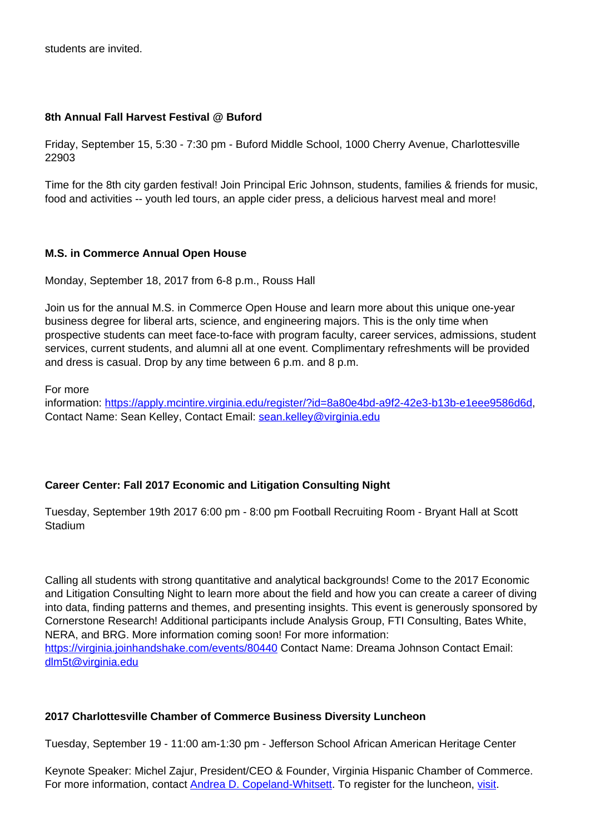students are invited.

## **8th Annual Fall Harvest Festival @ Buford**

Friday, September 15, 5:30 - 7:30 pm - Buford Middle School, 1000 Cherry Avenue, Charlottesville 22903

Time for the 8th city garden festival! Join Principal Eric Johnson, students, families & friends for music, food and activities -- youth led tours, an apple cider press, a delicious harvest meal and more!

## **M.S. in Commerce Annual Open House**

Monday, September 18, 2017 from 6-8 p.m., Rouss Hall

Join us for the annual M.S. in Commerce Open House and learn more about this unique one-year business degree for liberal arts, science, and engineering majors. This is the only time when prospective students can meet face-to-face with program faculty, career services, admissions, student services, current students, and alumni all at one event. Complimentary refreshments will be provided and dress is casual. Drop by any time between 6 p.m. and 8 p.m.

For more

information: https://apply.mcintire.virginia.edu/register/?id=8a80e4bd-a9f2-42e3-b13b-e1eee9586d6d, Contact Name: Sean Kelley, Contact Email: sean.kelley@virginia.edu

## **Career Center: Fall 2017 Economic and Litigation Consulting Night**

Tuesday, September 19th 2017 6:00 pm - 8:00 pm Football Recruiting Room - Bryant Hall at Scott **Stadium** 

Calling all students with strong quantitative and analytical backgrounds! Come to the 2017 Economic and Litigation Consulting Night to learn more about the field and how you can create a career of diving into data, finding patterns and themes, and presenting insights. This event is generously sponsored by Cornerstone Research! Additional participants include Analysis Group, FTI Consulting, Bates White, NERA, and BRG. More information coming soon! For more information: https://virginia.joinhandshake.com/events/80440 Contact Name: Dreama Johnson Contact Email: dlm5t@virginia.edu

## **2017 Charlottesville Chamber of Commerce Business Diversity Luncheon**

Tuesday, September 19 - 11:00 am-1:30 pm - Jefferson School African American Heritage Center

Keynote Speaker: Michel Zajur, President/CEO & Founder, Virginia Hispanic Chamber of Commerce. For more information, contact Andrea D. Copeland-Whitsett. To register for the luncheon, visit.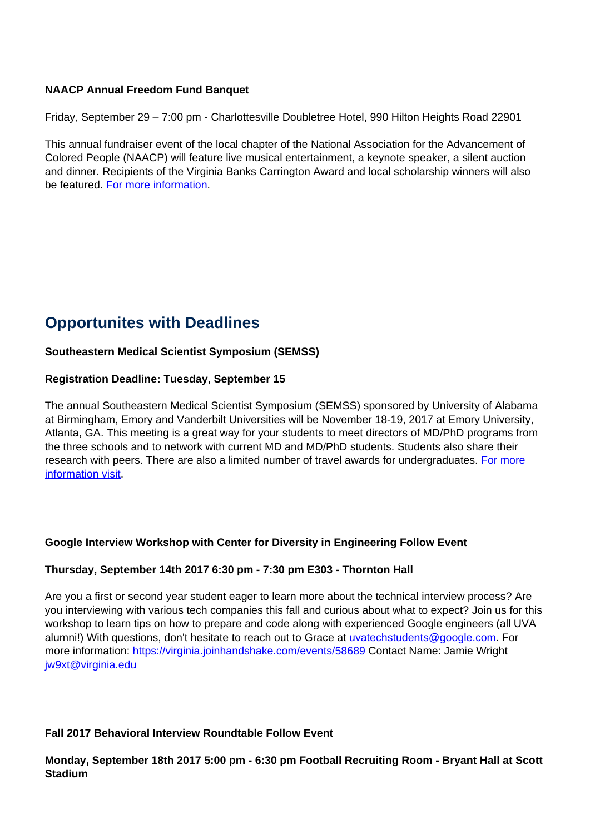## **NAACP Annual Freedom Fund Banquet**

Friday, September 29 – 7:00 pm - Charlottesville Doubletree Hotel, 990 Hilton Heights Road 22901

This annual fundraiser event of the local chapter of the National Association for the Advancement of Colored People (NAACP) will feature live musical entertainment, a keynote speaker, a silent auction and dinner. Recipients of the Virginia Banks Carrington Award and local scholarship winners will also be featured. For more information.

# **Opportunites with Deadlines**

## **Southeastern Medical Scientist Symposium (SEMSS)**

#### **Registration Deadline: Tuesday, September 15**

The annual Southeastern Medical Scientist Symposium (SEMSS) sponsored by University of Alabama at Birmingham, Emory and Vanderbilt Universities will be November 18-19, 2017 at Emory University, Atlanta, GA. This meeting is a great way for your students to meet directors of MD/PhD programs from the three schools and to network with current MD and MD/PhD students. Students also share their research with peers. There are also a limited number of travel awards for undergraduates. For more information visit.

## **Google Interview Workshop with Center for Diversity in Engineering Follow Event**

#### **Thursday, September 14th 2017 6:30 pm - 7:30 pm E303 - Thornton Hall**

Are you a first or second year student eager to learn more about the technical interview process? Are you interviewing with various tech companies this fall and curious about what to expect? Join us for this workshop to learn tips on how to prepare and code along with experienced Google engineers (all UVA alumni!) With questions, don't hesitate to reach out to Grace at uvatechstudents@google.com. For more information: https://virginia.joinhandshake.com/events/58689 Contact Name: Jamie Wright jw9xt@virginia.edu

## **Fall 2017 Behavioral Interview Roundtable Follow Event**

**Monday, September 18th 2017 5:00 pm - 6:30 pm Football Recruiting Room - Bryant Hall at Scott Stadium**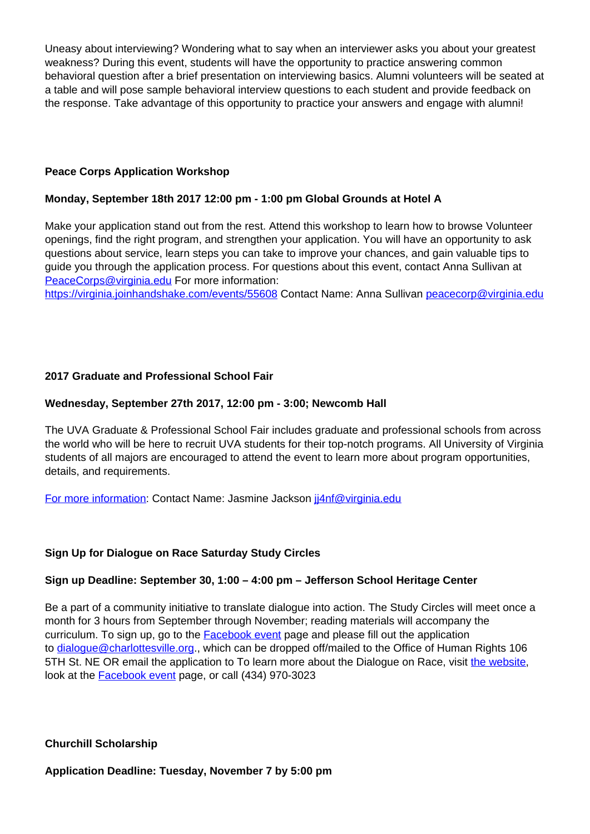Uneasy about interviewing? Wondering what to say when an interviewer asks you about your greatest weakness? During this event, students will have the opportunity to practice answering common behavioral question after a brief presentation on interviewing basics. Alumni volunteers will be seated at a table and will pose sample behavioral interview questions to each student and provide feedback on the response. Take advantage of this opportunity to practice your answers and engage with alumni!

## **Peace Corps Application Workshop**

## **Monday, September 18th 2017 12:00 pm - 1:00 pm Global Grounds at Hotel A**

Make your application stand out from the rest. Attend this workshop to learn how to browse Volunteer openings, find the right program, and strengthen your application. You will have an opportunity to ask questions about service, learn steps you can take to improve your chances, and gain valuable tips to guide you through the application process. For questions about this event, contact Anna Sullivan at PeaceCorps@virginia.edu For more information:

https://virginia.joinhandshake.com/events/55608 Contact Name: Anna Sullivan peacecorp@virginia.edu

## **2017 Graduate and Professional School Fair**

## **Wednesday, September 27th 2017, 12:00 pm - 3:00; Newcomb Hall**

The UVA Graduate & Professional School Fair includes graduate and professional schools from across the world who will be here to recruit UVA students for their top-notch programs. All University of Virginia students of all majors are encouraged to attend the event to learn more about program opportunities, details, and requirements.

For more information: Contact Name: Jasmine Jackson ji4nf@virginia.edu

## **Sign Up for Dialogue on Race Saturday Study Circles**

## **Sign up Deadline: September 30, 1:00 – 4:00 pm – Jefferson School Heritage Center**

Be a part of a community initiative to translate dialogue into action. The Study Circles will meet once a month for 3 hours from September through November; reading materials will accompany the curriculum. To sign up, go to the Facebook event page and please fill out the application to dialogue@charlottesville.org., which can be dropped off/mailed to the Office of Human Rights 106 5TH St. NE OR email the application to To learn more about the Dialogue on Race, visit the website, look at the **Facebook event** page, or call (434) 970-3023

## **Churchill Scholarship**

**Application Deadline: Tuesday, November 7 by 5:00 pm**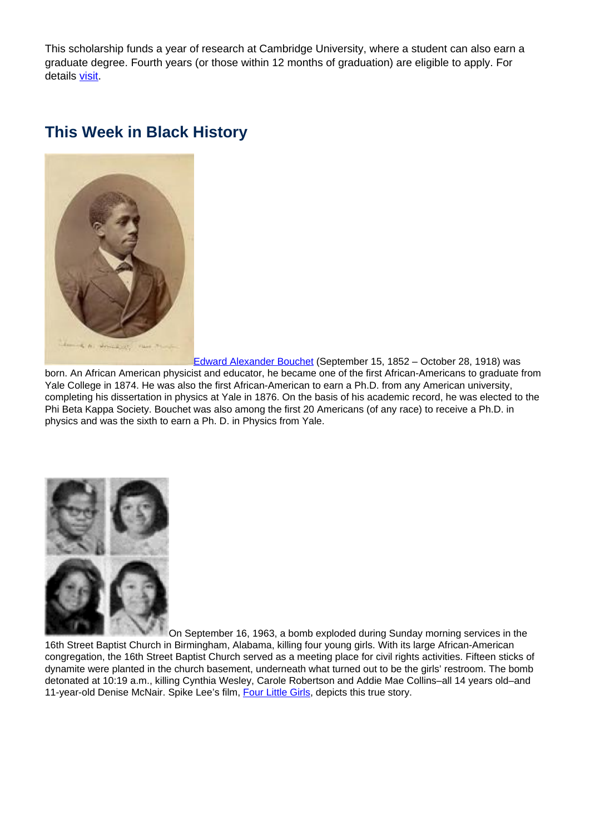This scholarship funds a year of research at Cambridge University, where a student can also earn a graduate degree. Fourth years (or those within 12 months of graduation) are eligible to apply. For details visit.

## **This Week in Black History**



Edward Alexander Bouchet (September 15, 1852 – October 28, 1918) was born. An African American physicist and educator, he became one of the first African-Americans to graduate from Yale College in 1874. He was also the first African-American to earn a Ph.D. from any American university, completing his dissertation in physics at Yale in 1876. On the basis of his academic record, he was elected to the Phi Beta Kappa Society. Bouchet was also among the first 20 Americans (of any race) to receive a Ph.D. in physics and was the sixth to earn a Ph. D. in Physics from Yale.



On September 16, 1963, a bomb exploded during Sunday morning services in the 16th Street Baptist Church in Birmingham, Alabama, killing four young girls. With its large African-American congregation, the 16th Street Baptist Church served as a meeting place for civil rights activities. Fifteen sticks of dynamite were planted in the church basement, underneath what turned out to be the girls' restroom. The bomb detonated at 10:19 a.m., killing Cynthia Wesley, Carole Robertson and Addie Mae Collins–all 14 years old–and 11-year-old Denise McNair. Spike Lee's film, Four Little Girls, depicts this true story.